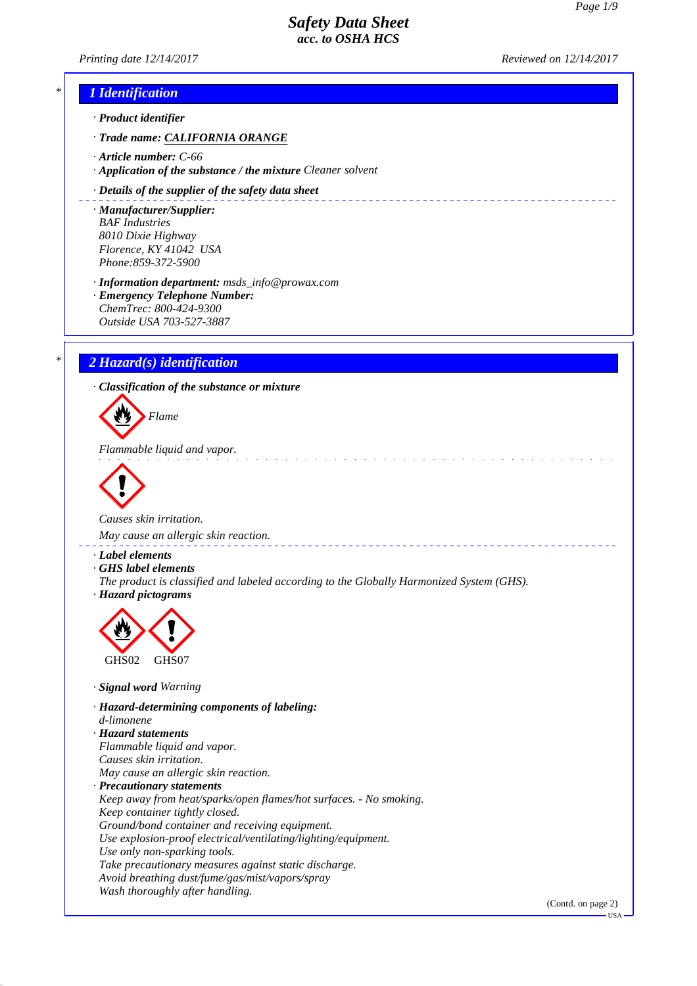\_\_\_\_\_\_\_\_\_\_\_\_\_\_\_\_\_\_\_\_\_\_\_\_\_\_\_\_\_\_\_

*Printing date 12/14/2017 Reviewed on 12/14/2017*

<u>aasaasaas</u>

# *\* 1 Identification*

*· Product identifier*

- *· Trade name: CALIFORNIA ORANGE*
- *· Article number: C-66*
- *· Application of the substance / the mixture Cleaner solvent*

#### *· Details of the supplier of the safety data sheet*

*· Manufacturer/Supplier: BAF Industries 8010 Dixie Highway Florence, KY 41042 USA Phone:859-372-5900*

*· Information department: msds\_info@prowax.com*

*· Emergency Telephone Number: ChemTrec: 800-424-9300 Outside USA 703-527-3887*

### *\* 2 Hazard(s) identification*

*· Classification of the substance or mixture*

*Flame*

*Flammable liquid and vapor.* 



*Causes skin irritation.* 

*May cause an allergic skin reaction.* 

- *· Label elements*
- *· GHS label elements*
- *The product is classified and labeled according to the Globally Harmonized System (GHS). · Hazard pictograms*



- *· Signal word Warning*
- *· Hazard-determining components of labeling: d-limonene · Hazard statements Flammable liquid and vapor. Causes skin irritation. May cause an allergic skin reaction. · Precautionary statements Keep away from heat/sparks/open flames/hot surfaces. - No smoking. Keep container tightly closed. Ground/bond container and receiving equipment. Use explosion-proof electrical/ventilating/lighting/equipment. Use only non-sparking tools. Take precautionary measures against static discharge. Avoid breathing dust/fume/gas/mist/vapors/spray Wash thoroughly after handling.*

(Contd. on page 2)

**TISA**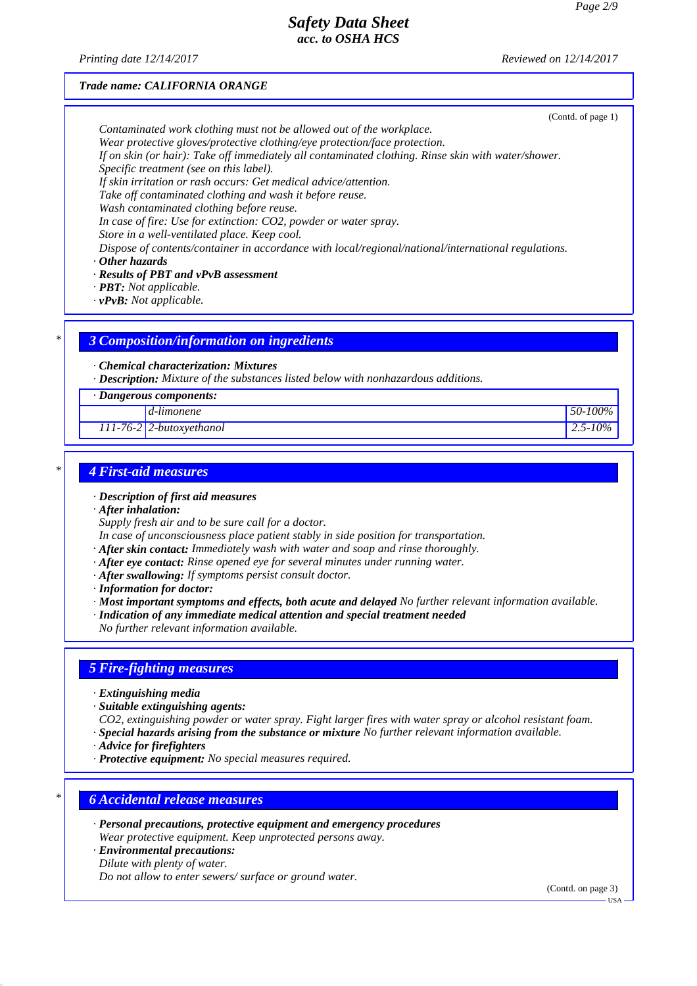*Printing date 12/14/2017 Reviewed on 12/14/2017*

#### *Trade name: CALIFORNIA ORANGE*

(Contd. of page 1)

*Contaminated work clothing must not be allowed out of the workplace.*

*Wear protective gloves/protective clothing/eye protection/face protection.*

*If on skin (or hair): Take off immediately all contaminated clothing. Rinse skin with water/shower.*

*Specific treatment (see on this label).*

*If skin irritation or rash occurs: Get medical advice/attention.*

*Take off contaminated clothing and wash it before reuse.*

*Wash contaminated clothing before reuse.*

*In case of fire: Use for extinction: CO2, powder or water spray.*

*Store in a well-ventilated place. Keep cool.*

*Dispose of contents/container in accordance with local/regional/national/international regulations.*

*· Other hazards*

- *· Results of PBT and vPvB assessment*
- *· PBT: Not applicable.*
- *· vPvB: Not applicable.*

### *\* 3 Composition/information on ingredients*

### *· Chemical characterization: Mixtures*

*· Description: Mixture of the substances listed below with nonhazardous additions.*

*· Dangerous components:*

*d-limonene 50-100%*

*111-76-2 2-butoxyethanol 2.5-10%*

### *\* 4 First-aid measures*

- *· Description of first aid measures*
- *· After inhalation:*

*Supply fresh air and to be sure call for a doctor.*

- *In case of unconsciousness place patient stably in side position for transportation.*
- *· After skin contact: Immediately wash with water and soap and rinse thoroughly.*
- *· After eye contact: Rinse opened eye for several minutes under running water.*
- *· After swallowing: If symptoms persist consult doctor.*
- *· Information for doctor:*

*· Most important symptoms and effects, both acute and delayed No further relevant information available.*

- *· Indication of any immediate medical attention and special treatment needed*
- *No further relevant information available.*

### *5 Fire-fighting measures*

- *· Extinguishing media*
- *· Suitable extinguishing agents:*
- *CO2, extinguishing powder or water spray. Fight larger fires with water spray or alcohol resistant foam.*
- *· Special hazards arising from the substance or mixture No further relevant information available.*
- *· Advice for firefighters*
- *· Protective equipment: No special measures required.*

# *\* 6 Accidental release measures*

- *· Personal precautions, protective equipment and emergency procedures Wear protective equipment. Keep unprotected persons away.*
- *· Environmental precautions: Dilute with plenty of water. Do not allow to enter sewers/ surface or ground water.*

(Contd. on page 3)

USA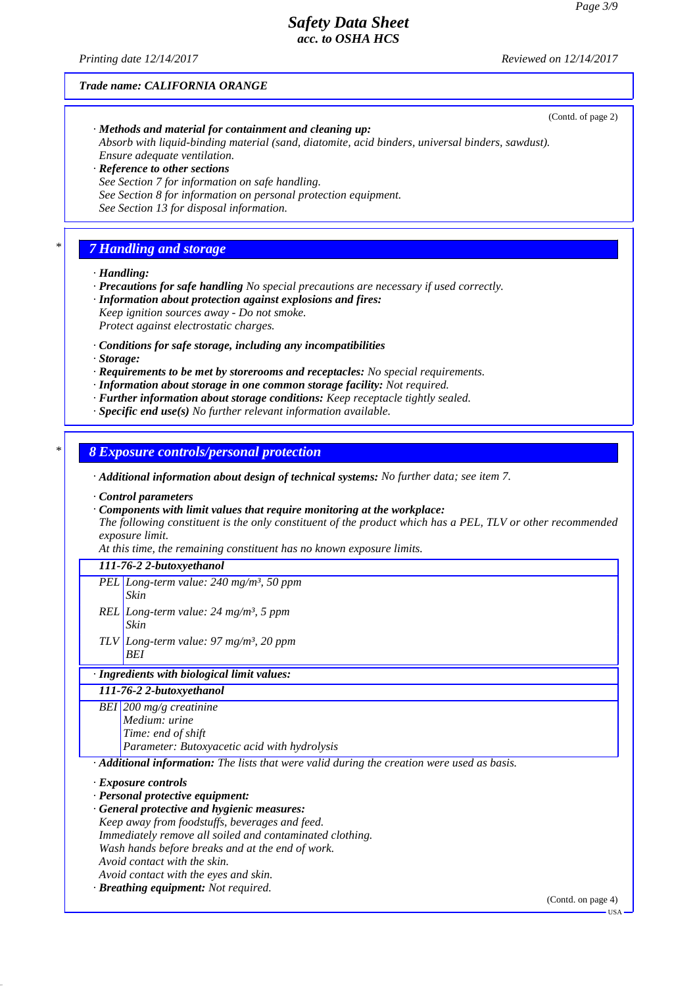*Printing date 12/14/2017 Reviewed on 12/14/2017*

(Contd. of page 2)

#### *Trade name: CALIFORNIA ORANGE*

- *· Methods and material for containment and cleaning up: Absorb with liquid-binding material (sand, diatomite, acid binders, universal binders, sawdust). Ensure adequate ventilation.*
- *· Reference to other sections See Section 7 for information on safe handling. See Section 8 for information on personal protection equipment. See Section 13 for disposal information.*

# *\* 7 Handling and storage*

*· Handling:*

*· Precautions for safe handling No special precautions are necessary if used correctly.*

- *· Information about protection against explosions and fires: Keep ignition sources away - Do not smoke. Protect against electrostatic charges.*
- *· Conditions for safe storage, including any incompatibilities*
- *· Storage:*
- *· Requirements to be met by storerooms and receptacles: No special requirements.*
- *· Information about storage in one common storage facility: Not required.*
- *· Further information about storage conditions: Keep receptacle tightly sealed.*
- *· Specific end use(s) No further relevant information available.*

*\* 8 Exposure controls/personal protection*

*· Additional information about design of technical systems: No further data; see item 7.*

*· Control parameters*

- *· Components with limit values that require monitoring at the workplace:*
- *The following constituent is the only constituent of the product which has a PEL, TLV or other recommended exposure limit.*

*At this time, the remaining constituent has no known exposure limits.*

#### *111-76-2 2-butoxyethanol*

- *PEL Long-term value: 240 mg/m³, 50 ppm Skin*
- *REL Long-term value: 24 mg/m³, 5 ppm Skin*
- *TLV Long-term value: 97 mg/m³, 20 ppm BEI*

# *· Ingredients with biological limit values:*

*111-76-2 2-butoxyethanol*

*BEI 200 mg/g creatinine Medium: urine Time: end of shift Parameter: Butoxyacetic acid with hydrolysis*

*· Additional information: The lists that were valid during the creation were used as basis.*

*· Exposure controls*

*· Personal protective equipment:*

*· General protective and hygienic measures:*

*Keep away from foodstuffs, beverages and feed.*

*Immediately remove all soiled and contaminated clothing.*

*Wash hands before breaks and at the end of work.*

- *Avoid contact with the skin.*
- *Avoid contact with the eyes and skin.*
- *· Breathing equipment: Not required.*

(Contd. on page 4)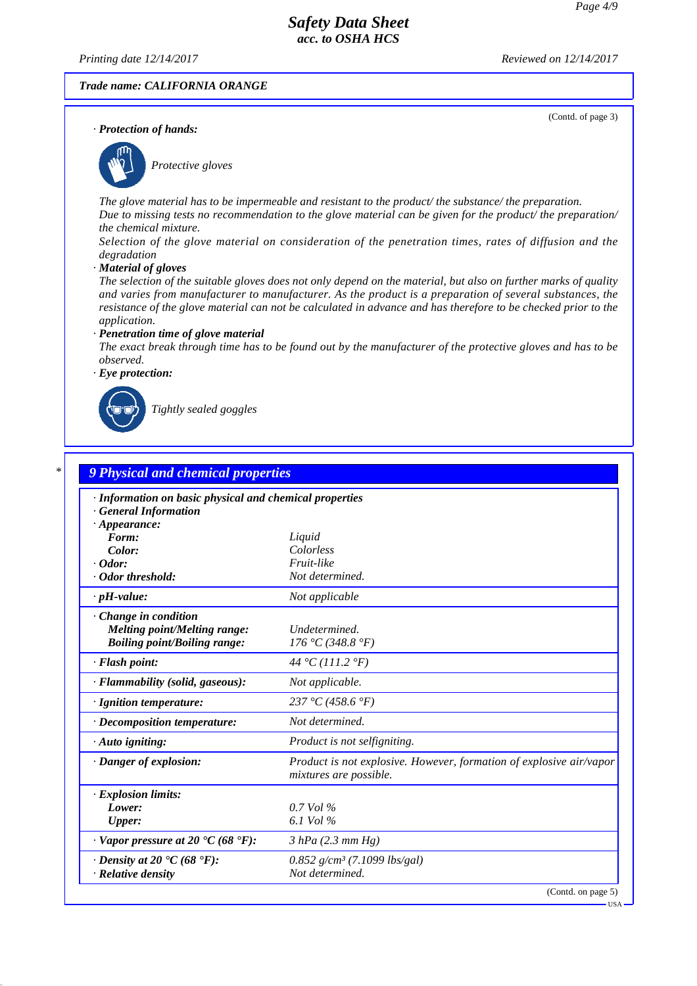*Printing date 12/14/2017 Reviewed on 12/14/2017*

(Contd. of page 3)

#### *Trade name: CALIFORNIA ORANGE*

*· Protection of hands:*



*Protective gloves*

*The glove material has to be impermeable and resistant to the product/ the substance/ the preparation. Due to missing tests no recommendation to the glove material can be given for the product/ the preparation/ the chemical mixture.*

*Selection of the glove material on consideration of the penetration times, rates of diffusion and the degradation*

*· Material of gloves*

*The selection of the suitable gloves does not only depend on the material, but also on further marks of quality and varies from manufacturer to manufacturer. As the product is a preparation of several substances, the resistance of the glove material can not be calculated in advance and has therefore to be checked prior to the application.*

#### *· Penetration time of glove material*

*The exact break through time has to be found out by the manufacturer of the protective gloves and has to be observed.*

*· Eye protection:*



*Tightly sealed goggles*

| · Information on basic physical and chemical properties<br><b>General Information</b> |                                                                                               |
|---------------------------------------------------------------------------------------|-----------------------------------------------------------------------------------------------|
| $\cdot$ Appearance:                                                                   |                                                                                               |
| Form:                                                                                 | Liquid                                                                                        |
| Color:                                                                                | Colorless                                                                                     |
| $\cdot$ Odor:                                                                         | Fruit-like                                                                                    |
| $\cdot$ Odor threshold:                                                               | Not determined.                                                                               |
| $\cdot$ pH-value:                                                                     | Not applicable                                                                                |
| Change in condition                                                                   |                                                                                               |
| Melting point/Melting range:                                                          | Undetermined.                                                                                 |
| <b>Boiling point/Boiling range:</b>                                                   | 176 °C (348.8 °F)                                                                             |
| · Flash point:                                                                        | 44 °C (111.2 °F)                                                                              |
| · Flammability (solid, gaseous):                                                      | Not applicable.                                                                               |
| · Ignition temperature:                                                               | 237 °C (458.6 °F)                                                                             |
| · Decomposition temperature:                                                          | Not determined.                                                                               |
| $\cdot$ Auto igniting:                                                                | Product is not selfigniting.                                                                  |
| · Danger of explosion:                                                                | Product is not explosive. However, formation of explosive air/vapor<br>mixtures are possible. |
| · Explosion limits:                                                                   |                                                                                               |
| Lower:                                                                                | 0.7 Vol %                                                                                     |
| <b>Upper:</b>                                                                         | 6.1 Vol %                                                                                     |
| $\cdot$ Vapor pressure at 20 $\textdegree$ C (68 $\textdegree$ F):                    | $3 hPa$ (2.3 mm Hg)                                                                           |
| $\cdot$ Density at 20 $\cdot$ C (68 $\cdot$ F):                                       | $0.852$ g/cm <sup>3</sup> (7.1099 lbs/gal)                                                    |
| $\cdot$ Relative density                                                              | Not determined.                                                                               |

USA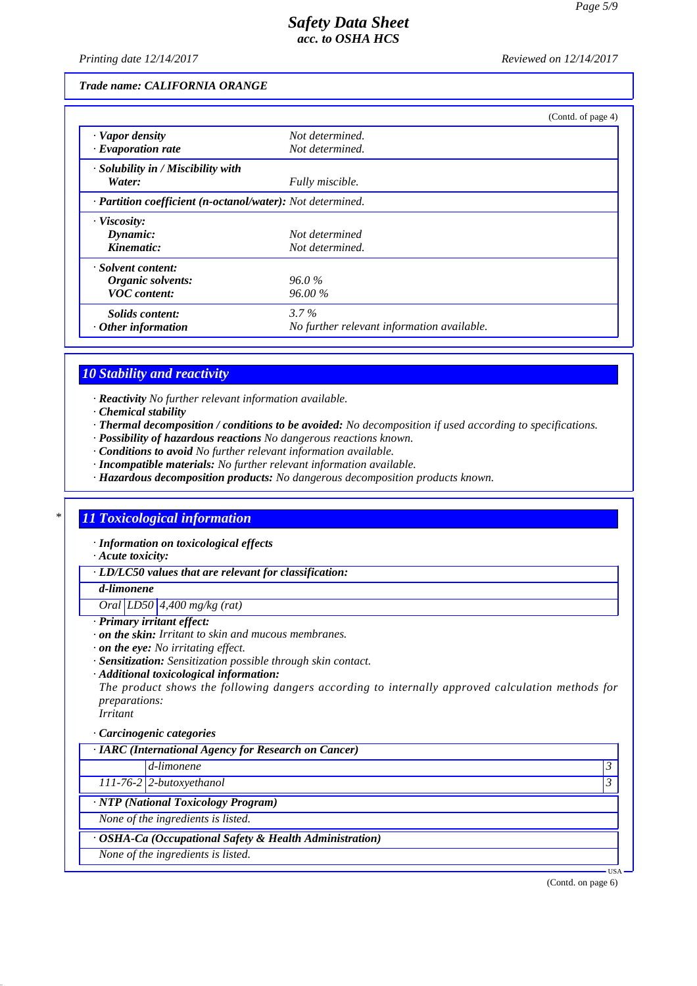*Printing date 12/14/2017 Reviewed on 12/14/2017*

### *Trade name: CALIFORNIA ORANGE*

|                                                            | (Contd. of page 4)                         |  |
|------------------------------------------------------------|--------------------------------------------|--|
| $\cdot$ Vapor density                                      | Not determined.                            |  |
| $\cdot$ Evaporation rate                                   | Not determined.                            |  |
| · Solubility in / Miscibility with                         |                                            |  |
| Water:                                                     | Fully miscible.                            |  |
| · Partition coefficient (n-octanol/water): Not determined. |                                            |  |
| $\cdot$ Viscosity:                                         |                                            |  |
| Dynamic:                                                   | Not determined                             |  |
| Kinematic:                                                 | Not determined.                            |  |
| · Solvent content:                                         |                                            |  |
| Organic solvents:                                          | $96.0\%$                                   |  |
| <b>VOC</b> content:                                        | 96.00%                                     |  |
| Solids content:                                            | $3.7\%$                                    |  |
| $\cdot$ Other information                                  | No further relevant information available. |  |

### *10 Stability and reactivity*

*· Reactivity No further relevant information available.*

- *· Chemical stability*
- *· Thermal decomposition / conditions to be avoided: No decomposition if used according to specifications.*
- *· Possibility of hazardous reactions No dangerous reactions known.*
- *· Conditions to avoid No further relevant information available.*
- *· Incompatible materials: No further relevant information available.*
- *· Hazardous decomposition products: No dangerous decomposition products known.*

## *\* 11 Toxicological information*

*· Information on toxicological effects*

*· Acute toxicity:*

*· LD/LC50 values that are relevant for classification:*

*d-limonene*

*Oral LD50 4,400 mg/kg (rat)*

### *· Primary irritant effect:*

- *· on the skin: Irritant to skin and mucous membranes.*
- *· on the eye: No irritating effect.*
- *· Sensitization: Sensitization possible through skin contact.*
- *· Additional toxicological information:*

*The product shows the following dangers according to internally approved calculation methods for preparations:*

*Irritant*

#### *· Carcinogenic categories*

| $\cdot$ IARC (International Agency for Research on Cancer) |                    |
|------------------------------------------------------------|--------------------|
| d-limonene                                                 | 3                  |
| $111-76-2$ 2-butoxyethanol                                 | 3                  |
| · NTP (National Toxicology Program)                        |                    |
| None of the ingredients is listed.                         |                    |
| · OSHA-Ca (Occupational Safety & Health Administration)    |                    |
| None of the ingredients is listed.                         |                    |
|                                                            | USA-               |
|                                                            | (Contd. on page 6) |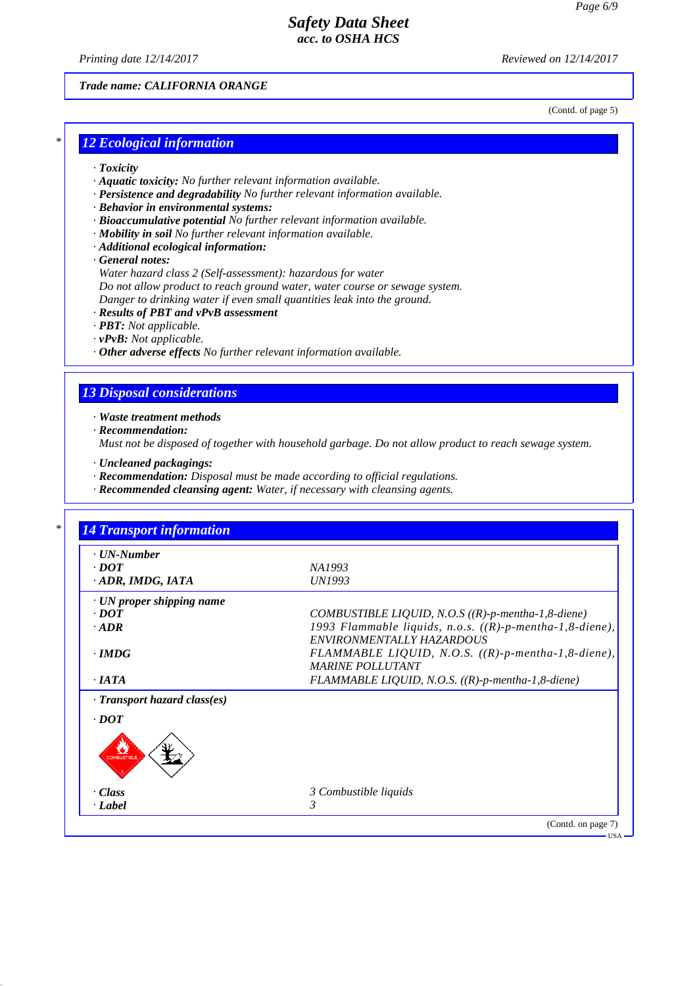*Printing date 12/14/2017 Reviewed on 12/14/2017*

### *Trade name: CALIFORNIA ORANGE*

(Contd. of page 5)

## *\* 12 Ecological information*

- *· Toxicity*
- *· Aquatic toxicity: No further relevant information available.*
- *· Persistence and degradability No further relevant information available.*
- *· Behavior in environmental systems:*
- *· Bioaccumulative potential No further relevant information available.*
- *· Mobility in soil No further relevant information available.*
- *· Additional ecological information:*
- *· General notes:*

*Water hazard class 2 (Self-assessment): hazardous for water*

*Do not allow product to reach ground water, water course or sewage system.*

- *Danger to drinking water if even small quantities leak into the ground.*
- *· Results of PBT and vPvB assessment*
- *· PBT: Not applicable.*
- *· vPvB: Not applicable.*
- *· Other adverse effects No further relevant information available.*

### *13 Disposal considerations*

*· Waste treatment methods*

- *· Recommendation:*
- *Must not be disposed of together with household garbage. Do not allow product to reach sewage system.*
- *· Uncleaned packagings:*
- *· Recommendation: Disposal must be made according to official regulations.*
- *· Recommended cleansing agent: Water, if necessary with cleansing agents.*

| $\cdot$ UN-Number                 |                                                                                          |
|-----------------------------------|------------------------------------------------------------------------------------------|
| $\cdot$ <i>DOT</i>                | NA1993                                                                                   |
| ADR, IMDG, IATA                   | UN1993                                                                                   |
| $\cdot$ UN proper shipping name   |                                                                                          |
| $\cdot$ <i>DOT</i>                | COMBUSTIBLE LIQUID, N.O.S $((R)-p$ -mentha-1,8-diene)                                    |
| $\cdot$ ADR                       | 1993 Flammable liquids, n.o.s. $((R)-p$ -mentha-1,8-diene),<br>ENVIRONMENTALLY HAZARDOUS |
| $\cdot$ IMDG                      | FLAMMABLE LIQUID, N.O.S. $((R)-p$ -mentha-1,8-diene),<br><b>MARINE POLLUTANT</b>         |
| $\cdot$ <i>IATA</i>               | FLAMMABLE LIQUID, N.O.S. $((R)-p$ -mentha-1,8-diene)                                     |
| · Transport hazard class(es)      |                                                                                          |
| $\cdot$ <i>DOT</i><br>COMBUSTIBLI |                                                                                          |
| · Class                           | 3 Combustible liquids                                                                    |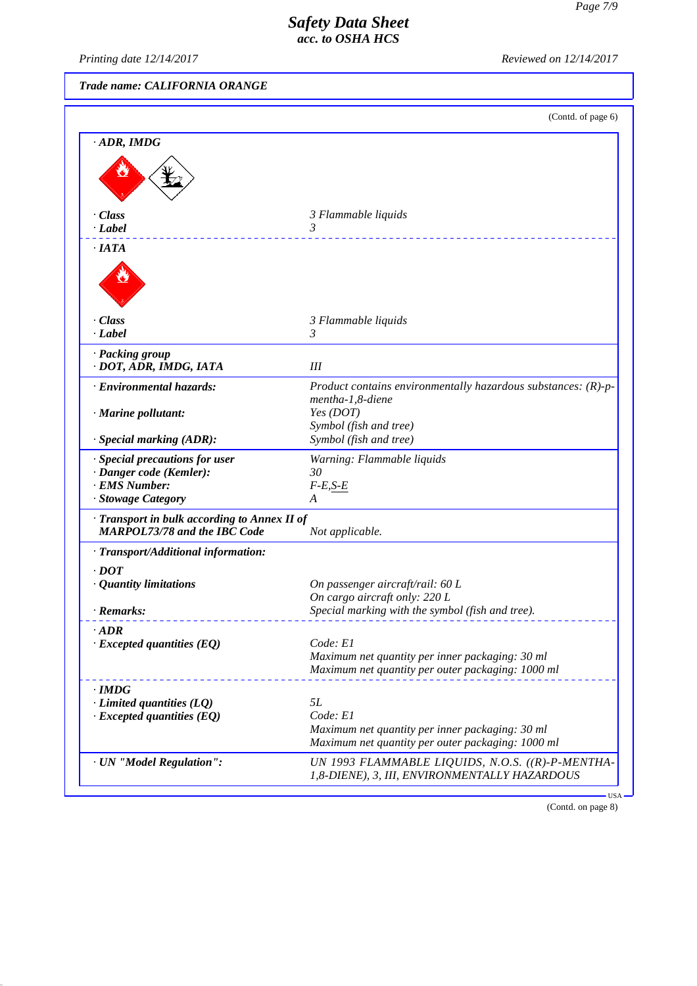*Printing date 12/14/2017 Reviewed on 12/14/2017*

| Trade name: CALIFORNIA ORANGE                                                       |                                                                                                      |  |
|-------------------------------------------------------------------------------------|------------------------------------------------------------------------------------------------------|--|
|                                                                                     | (Contd. of page 6)                                                                                   |  |
| $\cdot$ ADR, IMDG                                                                   |                                                                                                      |  |
|                                                                                     |                                                                                                      |  |
| $\cdot$ Class<br>$\cdot$ Label                                                      | 3 Flammable liquids<br>3<br><u>.</u>                                                                 |  |
| $\cdot$ IATA                                                                        |                                                                                                      |  |
|                                                                                     |                                                                                                      |  |
| · Class<br>$\cdot$ Label                                                            | 3 Flammable liquids<br>$\mathfrak{Z}$                                                                |  |
|                                                                                     |                                                                                                      |  |
| · Packing group<br>· DOT, ADR, IMDG, IATA                                           | Ш                                                                                                    |  |
| · Environmental hazards:                                                            | Product contains environmentally hazardous substances: $(R)-p-$<br>mentha-1,8-diene                  |  |
| · Marine pollutant:                                                                 | Yes (DOT)<br>Symbol (fish and tree)                                                                  |  |
| $\cdot$ Special marking (ADR):                                                      | Symbol (fish and tree)                                                                               |  |
| · Special precautions for user                                                      | Warning: Flammable liquids                                                                           |  |
| · Danger code (Kemler):<br>· EMS Number:                                            | 30<br>$F-E, S-E$                                                                                     |  |
| · Stowage Category                                                                  | A                                                                                                    |  |
| · Transport in bulk according to Annex II of<br><b>MARPOL73/78 and the IBC Code</b> | Not applicable.                                                                                      |  |
| · Transport/Additional information:                                                 |                                                                                                      |  |
| $\cdot$ <i>DOT</i>                                                                  |                                                                                                      |  |
| · Quantity limitations                                                              | On passenger aircraft/rail: 60 L<br>On cargo aircraft only: 220 L                                    |  |
| · Remarks:                                                                          | Special marking with the symbol (fish and tree).                                                     |  |
| $\cdot$ ADR                                                                         |                                                                                                      |  |
| $\cdot$ Excepted quantities (EQ)                                                    | Code: El                                                                                             |  |
|                                                                                     | Maximum net quantity per inner packaging: 30 ml<br>Maximum net quantity per outer packaging: 1000 ml |  |
| $\cdot$ IMDG                                                                        |                                                                                                      |  |
| $\cdot$ Limited quantities (LQ)                                                     | <i>5L</i><br>Code: E1                                                                                |  |
| $\cdot$ Excepted quantities (EQ)                                                    | Maximum net quantity per inner packaging: 30 ml                                                      |  |
|                                                                                     | Maximum net quantity per outer packaging: 1000 ml                                                    |  |
| · UN "Model Regulation":                                                            | UN 1993 FLAMMABLE LIQUIDS, N.O.S. ((R)-P-MENTHA-<br>1,8-DIENE), 3, III, ENVIRONMENTALLY HAZARDOUS    |  |
|                                                                                     | $USA -$                                                                                              |  |

(Contd. on page 8)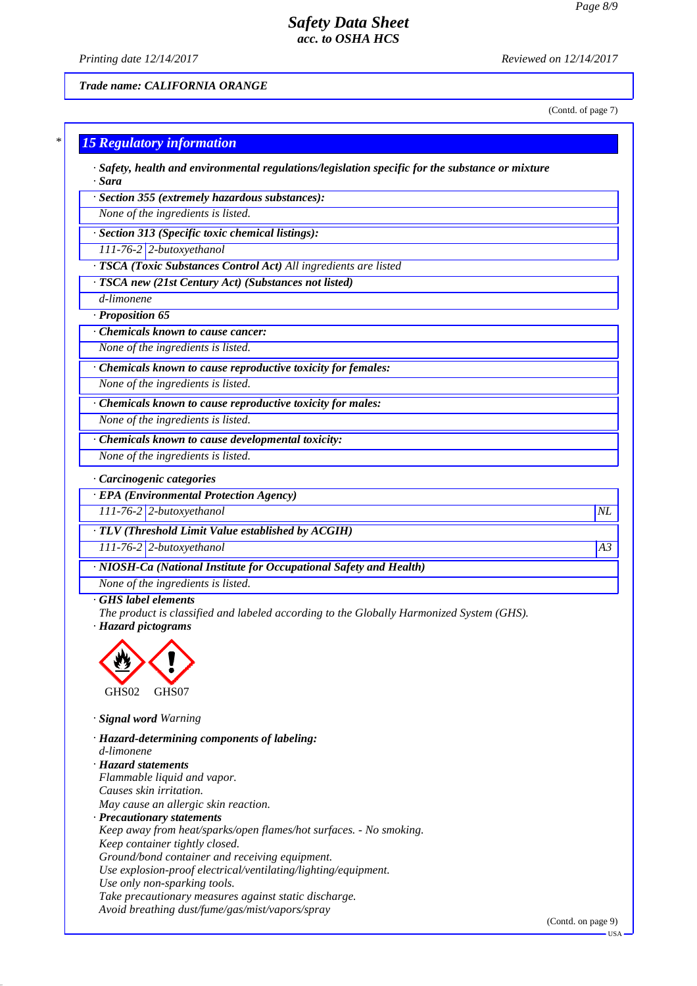*Printing date 12/14/2017 Reviewed on 12/14/2017*

*Trade name: CALIFORNIA ORANGE*

(Contd. of page 7)

# *\* 15 Regulatory information*

*· Safety, health and environmental regulations/legislation specific for the substance or mixture · Sara*

*· Section 355 (extremely hazardous substances):*

*None of the ingredients is listed.*

*· Section 313 (Specific toxic chemical listings):*

*111-76-2 2-butoxyethanol*

*· TSCA (Toxic Substances Control Act) All ingredients are listed*

*· TSCA new (21st Century Act) (Substances not listed)*

*d-limonene · Proposition 65*

*· Chemicals known to cause cancer:*

*None of the ingredients is listed.*

*· Chemicals known to cause reproductive toxicity for females:*

*None of the ingredients is listed.*

*· Chemicals known to cause reproductive toxicity for males:*

*None of the ingredients is listed.*

*· Chemicals known to cause developmental toxicity:*

*None of the ingredients is listed.*

*· Carcinogenic categories*

*· EPA (Environmental Protection Agency)*

*111-76-2 2-butoxyethanol NL*

*· TLV (Threshold Limit Value established by ACGIH)*

*111-76-2 2-butoxyethanol A3*

*· NIOSH-Ca (National Institute for Occupational Safety and Health)*

*None of the ingredients is listed.*

#### *· GHS label elements*

*The product is classified and labeled according to the Globally Harmonized System (GHS).*

*· Hazard pictograms*



*· Signal word Warning*

*· Hazard-determining components of labeling: d-limonene · Hazard statements Flammable liquid and vapor. Causes skin irritation.*

*May cause an allergic skin reaction.*

*· Precautionary statements*

*Keep away from heat/sparks/open flames/hot surfaces. - No smoking.*

*Keep container tightly closed. Ground/bond container and receiving equipment.*

*Use explosion-proof electrical/ventilating/lighting/equipment.*

*Use only non-sparking tools.*

*Take precautionary measures against static discharge.*

*Avoid breathing dust/fume/gas/mist/vapors/spray*

(Contd. on page 9)